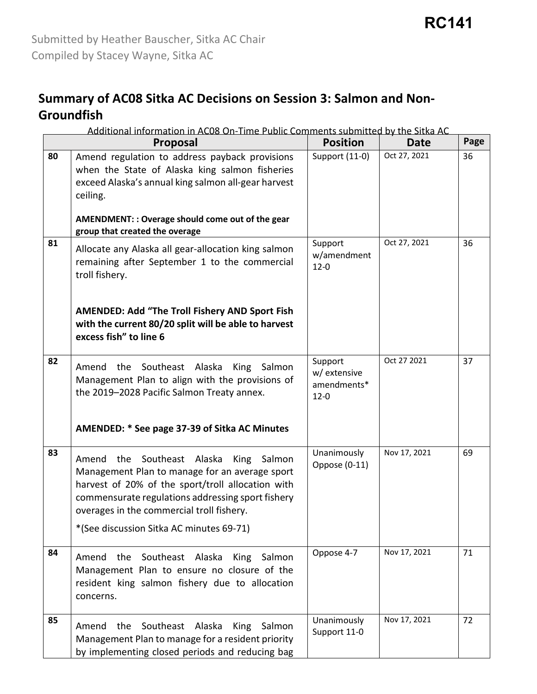#### **Summary of AC08 Sitka AC Decisions on Session 3: Salmon and Non-Groundfish**

|    | Additional information in AC08 On-Time Public Comments submitted by the Sitka AC                                                                                                                                                                                                                         |                                                    |              |      |
|----|----------------------------------------------------------------------------------------------------------------------------------------------------------------------------------------------------------------------------------------------------------------------------------------------------------|----------------------------------------------------|--------------|------|
|    | <b>Proposal</b>                                                                                                                                                                                                                                                                                          | <b>Position</b>                                    | <b>Date</b>  | Page |
| 80 | Amend regulation to address payback provisions<br>when the State of Alaska king salmon fisheries<br>exceed Alaska's annual king salmon all-gear harvest<br>ceiling.<br>AMENDMENT: : Overage should come out of the gear<br>group that created the overage                                                | Support (11-0)                                     | Oct 27, 2021 | 36   |
| 81 | Allocate any Alaska all gear-allocation king salmon<br>remaining after September 1 to the commercial<br>troll fishery.<br>AMENDED: Add "The Troll Fishery AND Sport Fish<br>with the current 80/20 split will be able to harvest<br>excess fish" to line 6                                               | Support<br>w/amendment<br>$12 - 0$                 | Oct 27, 2021 | 36   |
| 82 | Southeast Alaska<br>King<br>Amend<br>the<br>Salmon<br>Management Plan to align with the provisions of<br>the 2019-2028 Pacific Salmon Treaty annex.<br>AMENDED: * See page 37-39 of Sitka AC Minutes                                                                                                     | Support<br>w/ extensive<br>amendments*<br>$12 - 0$ | Oct 27 2021  | 37   |
| 83 | Amend the Southeast Alaska<br><b>King</b><br>Salmon<br>Management Plan to manage for an average sport<br>harvest of 20% of the sport/troll allocation with<br>commensurate regulations addressing sport fishery<br>overages in the commercial troll fishery.<br>*(See discussion Sitka AC minutes 69-71) | Unanimously<br>Oppose (0-11)                       | Nov 17, 2021 | 69   |
| 84 | Amend the Southeast Alaska<br>King Salmon<br>Management Plan to ensure no closure of the<br>resident king salmon fishery due to allocation<br>concerns.                                                                                                                                                  | Oppose 4-7                                         | Nov 17, 2021 | 71   |
| 85 | Southeast Alaska<br>the<br>King<br>Salmon<br>Amend<br>Management Plan to manage for a resident priority<br>by implementing closed periods and reducing bag                                                                                                                                               | Unanimously<br>Support 11-0                        | Nov 17, 2021 | 72   |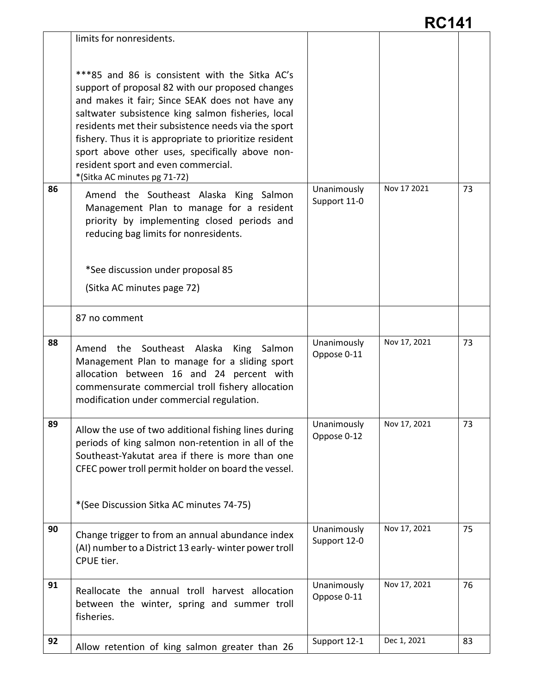|    | ***85 and 86 is consistent with the Sitka AC's<br>support of proposal 82 with our proposed changes<br>and makes it fair; Since SEAK does not have any<br>saltwater subsistence king salmon fisheries, local<br>residents met their subsistence needs via the sport<br>fishery. Thus it is appropriate to prioritize resident<br>sport above other uses, specifically above non-<br>resident sport and even commercial.<br>*(Sitka AC minutes pg 71-72) |                             |              |    |
|----|--------------------------------------------------------------------------------------------------------------------------------------------------------------------------------------------------------------------------------------------------------------------------------------------------------------------------------------------------------------------------------------------------------------------------------------------------------|-----------------------------|--------------|----|
| 86 | Amend the Southeast Alaska King Salmon<br>Management Plan to manage for a resident<br>priority by implementing closed periods and<br>reducing bag limits for nonresidents.<br>*See discussion under proposal 85<br>(Sitka AC minutes page 72)                                                                                                                                                                                                          | Unanimously<br>Support 11-0 | Nov 17 2021  | 73 |
|    | 87 no comment                                                                                                                                                                                                                                                                                                                                                                                                                                          |                             |              |    |
| 88 | Southeast Alaska<br>the<br>King Salmon<br>Amend<br>Management Plan to manage for a sliding sport<br>allocation between 16 and 24 percent with<br>commensurate commercial troll fishery allocation<br>modification under commercial regulation.                                                                                                                                                                                                         | Unanimously<br>Oppose 0-11  | Nov 17, 2021 | 73 |
| 89 | Allow the use of two additional fishing lines during<br>periods of king salmon non-retention in all of the<br>Southeast-Yakutat area if there is more than one<br>CFEC power troll permit holder on board the vessel.<br>*(See Discussion Sitka AC minutes 74-75)                                                                                                                                                                                      | Unanimously<br>Oppose 0-12  | Nov 17, 2021 | 73 |
| 90 | Change trigger to from an annual abundance index<br>(AI) number to a District 13 early-winter power troll<br>CPUE tier.                                                                                                                                                                                                                                                                                                                                | Unanimously<br>Support 12-0 | Nov 17, 2021 | 75 |
| 91 | Reallocate the annual troll harvest allocation<br>between the winter, spring and summer troll<br>fisheries.                                                                                                                                                                                                                                                                                                                                            | Unanimously<br>Oppose 0-11  | Nov 17, 2021 | 76 |
| 92 | Allow retention of king salmon greater than 26                                                                                                                                                                                                                                                                                                                                                                                                         | Support 12-1                | Dec 1, 2021  | 83 |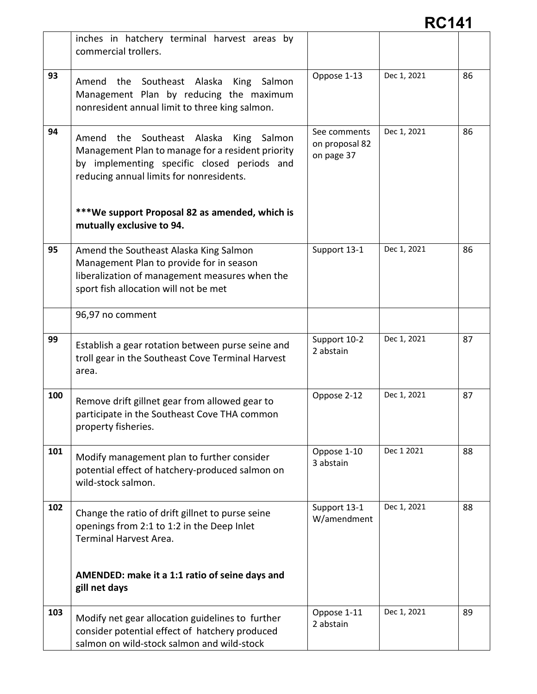|     | inches in hatchery terminal harvest areas by<br>commercial trollers.                                                                                                                                   |                                              |             |    |
|-----|--------------------------------------------------------------------------------------------------------------------------------------------------------------------------------------------------------|----------------------------------------------|-------------|----|
| 93  | Amend the Southeast Alaska<br>King Salmon<br>Management Plan by reducing the maximum<br>nonresident annual limit to three king salmon.                                                                 | Oppose 1-13                                  | Dec 1, 2021 | 86 |
| 94  | Southeast Alaska<br>Amend the<br><b>King</b><br>Salmon<br>Management Plan to manage for a resident priority<br>by implementing specific closed periods and<br>reducing annual limits for nonresidents. | See comments<br>on proposal 82<br>on page 37 | Dec 1, 2021 | 86 |
|     | ***We support Proposal 82 as amended, which is<br>mutually exclusive to 94.                                                                                                                            |                                              |             |    |
| 95  | Amend the Southeast Alaska King Salmon<br>Management Plan to provide for in season<br>liberalization of management measures when the<br>sport fish allocation will not be met                          | Support 13-1                                 | Dec 1, 2021 | 86 |
|     | 96,97 no comment                                                                                                                                                                                       |                                              |             |    |
| 99  | Establish a gear rotation between purse seine and<br>troll gear in the Southeast Cove Terminal Harvest<br>area.                                                                                        | Support 10-2<br>2 abstain                    | Dec 1, 2021 | 87 |
| 100 | Remove drift gillnet gear from allowed gear to<br>participate in the Southeast Cove THA common<br>property fisheries.                                                                                  | Oppose 2-12                                  | Dec 1, 2021 | 87 |
| 101 | Modify management plan to further consider<br>potential effect of hatchery-produced salmon on<br>wild-stock salmon.                                                                                    | Oppose 1-10<br>3 abstain                     | Dec 1 2021  | 88 |
| 102 | Change the ratio of drift gillnet to purse seine<br>openings from 2:1 to 1:2 in the Deep Inlet<br>Terminal Harvest Area.                                                                               | Support 13-1<br>W/amendment                  | Dec 1, 2021 | 88 |
|     | AMENDED: make it a 1:1 ratio of seine days and<br>gill net days                                                                                                                                        |                                              |             |    |
| 103 | Modify net gear allocation guidelines to further<br>consider potential effect of hatchery produced<br>salmon on wild-stock salmon and wild-stock                                                       | Oppose 1-11<br>2 abstain                     | Dec 1, 2021 | 89 |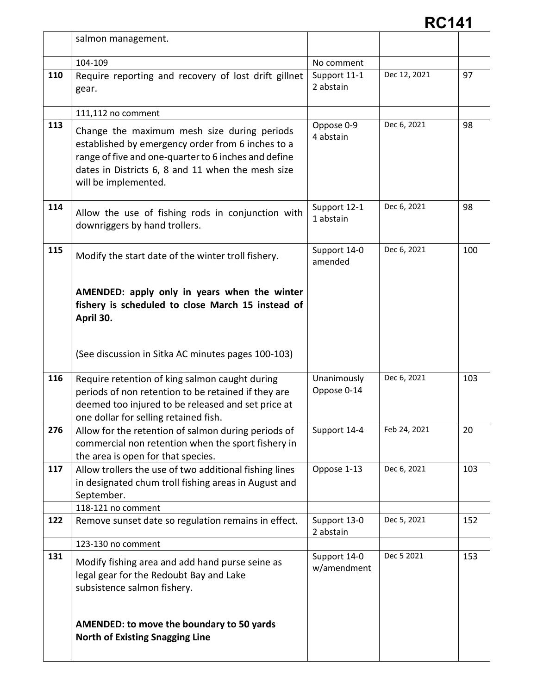|     | salmon management.                                                                                                                                                                                                                    |                             |              |     |
|-----|---------------------------------------------------------------------------------------------------------------------------------------------------------------------------------------------------------------------------------------|-----------------------------|--------------|-----|
|     | 104-109                                                                                                                                                                                                                               | No comment                  |              |     |
| 110 | Require reporting and recovery of lost drift gillnet<br>gear.                                                                                                                                                                         | Support 11-1<br>2 abstain   | Dec 12, 2021 | 97  |
|     | 111,112 no comment                                                                                                                                                                                                                    |                             |              |     |
| 113 | Change the maximum mesh size during periods<br>established by emergency order from 6 inches to a<br>range of five and one-quarter to 6 inches and define<br>dates in Districts 6, 8 and 11 when the mesh size<br>will be implemented. | Oppose 0-9<br>4 abstain     | Dec 6, 2021  | 98  |
| 114 | Allow the use of fishing rods in conjunction with<br>downriggers by hand trollers.                                                                                                                                                    | Support 12-1<br>1 abstain   | Dec 6, 2021  | 98  |
| 115 | Modify the start date of the winter troll fishery.                                                                                                                                                                                    | Support 14-0<br>amended     | Dec 6, 2021  | 100 |
|     | AMENDED: apply only in years when the winter<br>fishery is scheduled to close March 15 instead of<br>April 30.                                                                                                                        |                             |              |     |
|     | (See discussion in Sitka AC minutes pages 100-103)                                                                                                                                                                                    |                             |              |     |
| 116 | Require retention of king salmon caught during<br>periods of non retention to be retained if they are<br>deemed too injured to be released and set price at<br>one dollar for selling retained fish.                                  | Unanimously<br>Oppose 0-14  | Dec 6, 2021  | 103 |
| 276 | Allow for the retention of salmon during periods of<br>commercial non retention when the sport fishery in<br>the area is open for that species.                                                                                       | Support 14-4                | Feb 24, 2021 | 20  |
| 117 | Allow trollers the use of two additional fishing lines<br>in designated chum troll fishing areas in August and<br>September.<br>118-121 no comment                                                                                    | Oppose 1-13                 | Dec 6, 2021  | 103 |
| 122 | Remove sunset date so regulation remains in effect.                                                                                                                                                                                   | Support 13-0<br>2 abstain   | Dec 5, 2021  | 152 |
|     | 123-130 no comment                                                                                                                                                                                                                    |                             |              |     |
| 131 | Modify fishing area and add hand purse seine as<br>legal gear for the Redoubt Bay and Lake<br>subsistence salmon fishery.                                                                                                             | Support 14-0<br>w/amendment | Dec 5 2021   | 153 |
|     | AMENDED: to move the boundary to 50 yards<br><b>North of Existing Snagging Line</b>                                                                                                                                                   |                             |              |     |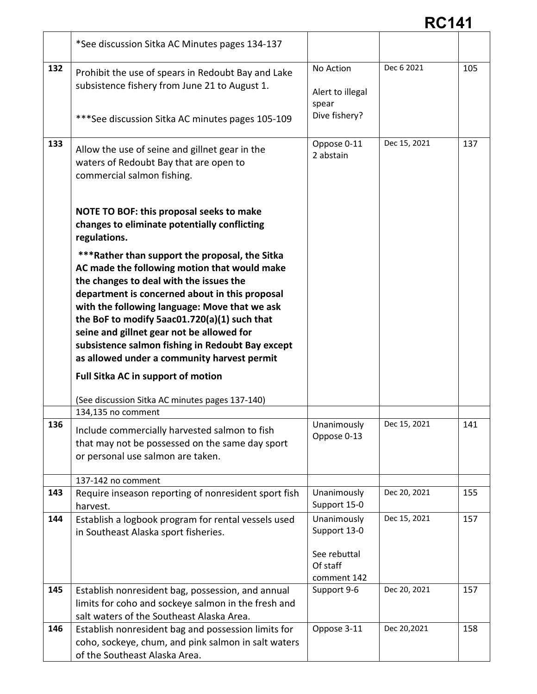|     | *See discussion Sitka AC Minutes pages 134-137                                                                                                                                                                                                                                                                                                                                                                                               |                                                         |              |     |
|-----|----------------------------------------------------------------------------------------------------------------------------------------------------------------------------------------------------------------------------------------------------------------------------------------------------------------------------------------------------------------------------------------------------------------------------------------------|---------------------------------------------------------|--------------|-----|
| 132 | Prohibit the use of spears in Redoubt Bay and Lake<br>subsistence fishery from June 21 to August 1.<br>*** See discussion Sitka AC minutes pages 105-109                                                                                                                                                                                                                                                                                     | No Action<br>Alert to illegal<br>spear<br>Dive fishery? | Dec 6 2021   | 105 |
| 133 | Allow the use of seine and gillnet gear in the<br>waters of Redoubt Bay that are open to<br>commercial salmon fishing.                                                                                                                                                                                                                                                                                                                       | Oppose 0-11<br>2 abstain                                | Dec 15, 2021 | 137 |
|     | NOTE TO BOF: this proposal seeks to make<br>changes to eliminate potentially conflicting<br>regulations.                                                                                                                                                                                                                                                                                                                                     |                                                         |              |     |
|     | ***Rather than support the proposal, the Sitka<br>AC made the following motion that would make<br>the changes to deal with the issues the<br>department is concerned about in this proposal<br>with the following language: Move that we ask<br>the BoF to modify 5aac01.720(a)(1) such that<br>seine and gillnet gear not be allowed for<br>subsistence salmon fishing in Redoubt Bay except<br>as allowed under a community harvest permit |                                                         |              |     |
|     | <b>Full Sitka AC in support of motion</b><br>(See discussion Sitka AC minutes pages 137-140)                                                                                                                                                                                                                                                                                                                                                 |                                                         |              |     |
|     | 134,135 no comment                                                                                                                                                                                                                                                                                                                                                                                                                           |                                                         |              |     |
| 136 | Include commercially harvested salmon to fish<br>that may not be possessed on the same day sport<br>or personal use salmon are taken.                                                                                                                                                                                                                                                                                                        | Unanimously<br>Oppose 0-13                              | Dec 15, 2021 | 141 |
|     | 137-142 no comment                                                                                                                                                                                                                                                                                                                                                                                                                           |                                                         |              |     |
| 143 | Require inseason reporting of nonresident sport fish<br>harvest.                                                                                                                                                                                                                                                                                                                                                                             | Unanimously<br>Support 15-0                             | Dec 20, 2021 | 155 |
| 144 | Establish a logbook program for rental vessels used<br>in Southeast Alaska sport fisheries.                                                                                                                                                                                                                                                                                                                                                  | Unanimously<br>Support 13-0<br>See rebuttal<br>Of staff | Dec 15, 2021 | 157 |
|     |                                                                                                                                                                                                                                                                                                                                                                                                                                              | comment 142                                             | Dec 20, 2021 | 157 |
| 145 | Establish nonresident bag, possession, and annual<br>limits for coho and sockeye salmon in the fresh and<br>salt waters of the Southeast Alaska Area.                                                                                                                                                                                                                                                                                        | Support 9-6                                             |              |     |
| 146 | Establish nonresident bag and possession limits for<br>coho, sockeye, chum, and pink salmon in salt waters<br>of the Southeast Alaska Area.                                                                                                                                                                                                                                                                                                  | Oppose 3-11                                             | Dec 20,2021  | 158 |